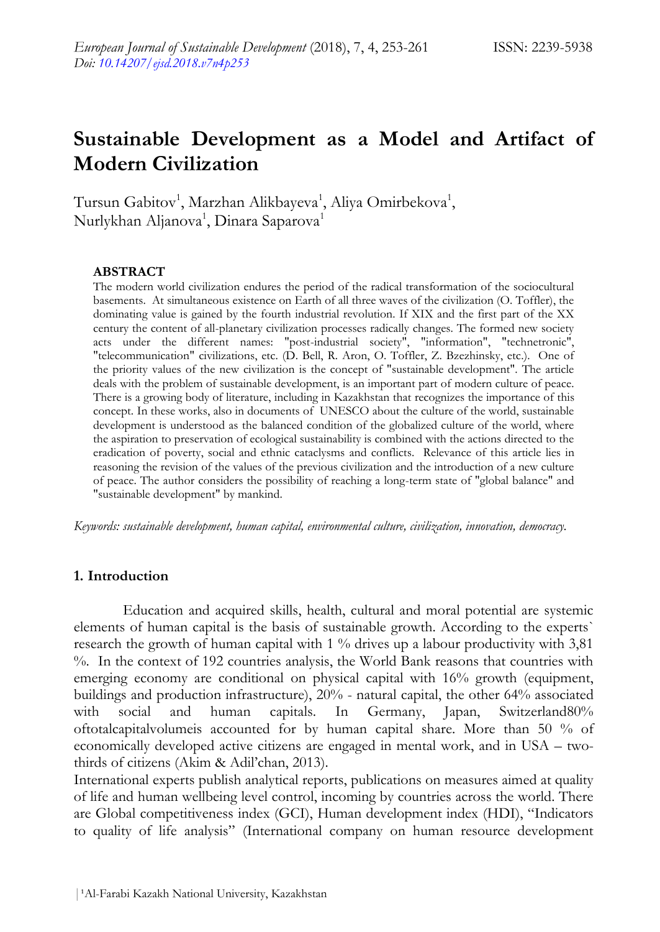# **Sustainable Development as a Model and Artifact of Modern Civilization**

Tursun Gabitov<sup>1</sup>, Marzhan Alikbayeva<sup>1</sup>, Aliya Omirbekova<sup>1</sup>, Nurlykhan Aljanova $^1\!$ , Dinara Saparova $^1$ 

### **ABSTRACT**

The modern world civilization endures the period of the radical transformation of the sociocultural basements. At simultaneous existence on Earth of all three waves of the civilization (O. Toffler), the dominating value is gained by the fourth industrial revolution. If XІX and the first part of the XX century the content of all-planetary civilization processes radically changes. The formed new society acts under the different names: "post-industrial society", "information", "technetronic", "telecommunication" civilizations, etc. (D. Bell, R. Aron, O. Toffler, Z. Bzezhinsky, etc.). One of the priority values of the new civilization is the concept of "sustainable development". The article deals with the problem of sustainable development, is an important part of modern culture of peace. There is a growing body of literature, including in Kazakhstan that recognizes the importance of this concept. In these works, also in documents of UNESCO about the culture of the world, sustainable development is understood as the balanced condition of the globalized culture of the world, where the aspiration to preservation of ecological sustainability is combined with the actions directed to the eradication of poverty, social and ethnic cataclysms and conflicts. Relevance of this article lies in reasoning the revision of the values of the previous civilization and the introduction of a new culture of peace. The author considers the possibility of reaching a long-term state of "global balance" and "sustainable development" by mankind.

*Keywords: sustainable development, human capital, environmental culture, civilization, innovation, democracy.*

### **1. Introduction**

Education and acquired skills, health, cultural and moral potential are systemic elements of human capital is the basis of sustainable growth. According to the experts` research the growth of human capital with 1 % drives up a labour productivity with 3,81 %. In the context of 192 countries analysis, the World Bank reasons that countries with emerging economy are conditional on physical capital with 16% growth (equipment, buildings and production infrastructure), 20% - natural capital, the other 64% associated with social and human capitals. In Germany, Japan, Switzerland80% oftotalcapitalvolumeis accounted for by human capital share. More than 50 % of economically developed active citizens are engaged in mental work, and in USA – twothirds of citizens (Akim & Adil'chan, 2013).

International experts publish analytical reports, publications on measures aimed at quality of life and human wellbeing level control, incoming by countries across the world. There are Global competitiveness index (GCI), Human development index (HDI), "Indicators to quality of life analysis" (International company on human resource development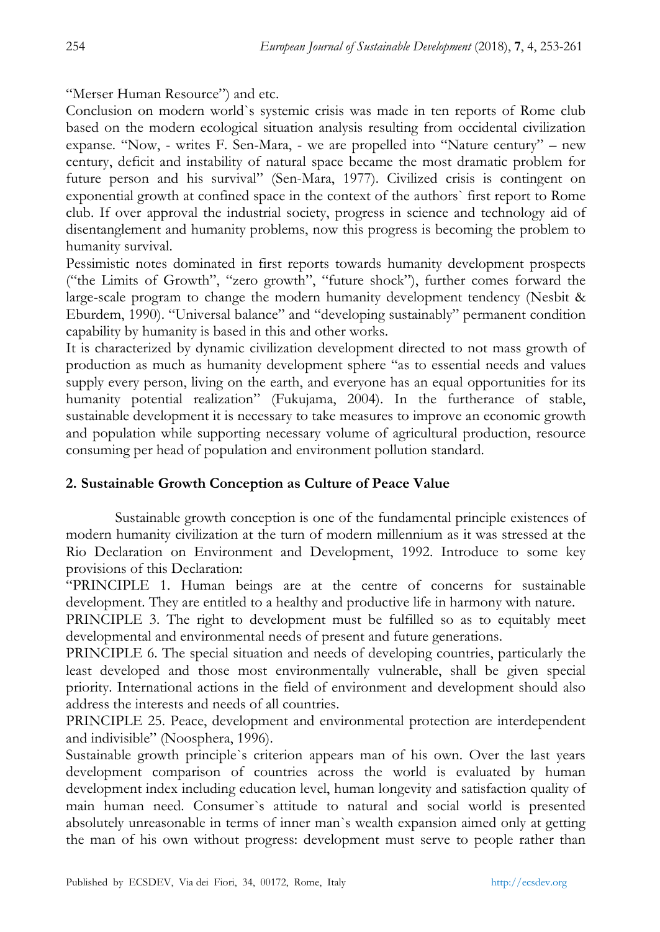"Merser Human Resource") and etc.

Conclusion on modern world`s systemic crisis was made in ten reports of Rome club based on the modern ecological situation analysis resulting from occidental civilization expanse. "Now, - writes F. Sen-Mara, - we are propelled into "Nature century" – new century, deficit and instability of natural space became the most dramatic problem for future person and his survival" (Sen-Mara, 1977). Civilized crisis is contingent on exponential growth at confined space in the context of the authors` first report to Rome club. If over approval the industrial society, progress in science and technology aid of disentanglement and humanity problems, now this progress is becoming the problem to humanity survival.

Pessimistic notes dominated in first reports towards humanity development prospects ("the Limits of Growth", "zero growth", "future shock"), further comes forward the large-scale program to change the modern humanity development tendency (Nesbit & Eburdem, 1990). "Universal balance" and "developing sustainably" permanent condition capability by humanity is based in this and other works.

It is characterized by dynamic civilization development directed to not mass growth of production as much as humanity development sphere "as to essential needs and values supply every person, living on the earth, and everyone has an equal opportunities for its humanity potential realization" (Fukujama, 2004). In the furtherance of stable, sustainable development it is necessary to take measures to improve an economic growth and population while supporting necessary volume of agricultural production, resource consuming per head of population and environment pollution standard.

## **2. Sustainable Growth Conception as Culture of Peace Value**

Sustainable growth conception is one of the fundamental principle existences of modern humanity civilization at the turn of modern millennium as it was stressed at the Rio Declaration on Environment and Development, 1992. Introduce to some key provisions of this Declaration:

"PRINCIPLE 1. Human beings are at the centre of concerns for sustainable development. They are entitled to a healthy and productive life in harmony with nature.

PRINCIPLE 3. The right to development must be fulfilled so as to equitably meet developmental and environmental needs of present and future generations.

PRINCIPLE 6. The special situation and needs of developing countries, particularly the least developed and those most environmentally vulnerable, shall be given special priority. International actions in the field of environment and development should also address the interests and needs of all countries.

PRINCIPLE 25. Peace, development and environmental protection are interdependent and indivisible" (Noospherа, 1996).

Sustainable growth principle`s criterion appears man of his own. Over the last years development comparison of countries across the world is evaluated by human development index including education level, human longevity and satisfaction quality of main human need. Consumer`s attitude to natural and social world is presented absolutely unreasonable in terms of inner man`s wealth expansion aimed only at getting the man of his own without progress: development must serve to people rather than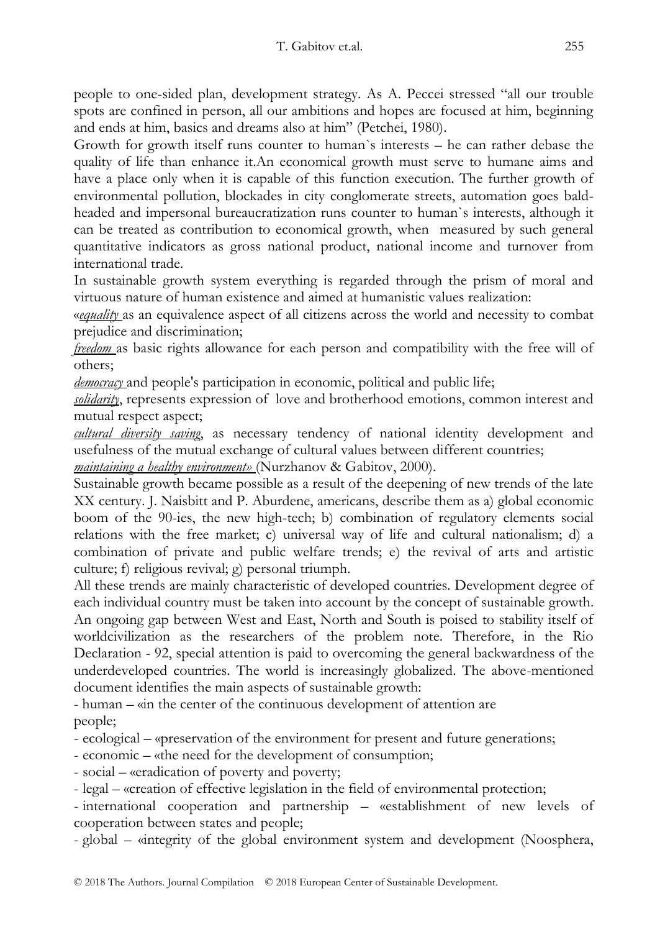people to one-sided plan, development strategy. As A. Peccei stressed "all our trouble spots are confined in person, all our ambitions and hopes are focused at him, beginning and ends at him, basics and dreams also at him" (Petchei, 1980).

Growth for growth itself runs counter to human`s interests – he can rather debase the quality of life than enhance it.An economical growth must serve to humane aims and have a place only when it is capable of this function execution. The further growth of environmental pollution, blockades in city conglomerate streets, automation goes baldheaded and impersonal bureaucratization runs counter to human`s interests, although it can be treated as contribution to economical growth, when measured by such general quantitative indicators as gross national product, national income and turnover from international trade.

In sustainable growth system everything is regarded through the prism of moral and virtuous nature of human existence and aimed at humanistic values realization:

«*equality* as an equivalence aspect of all citizens across the world and necessity to combat prejudice and discrimination;

*freedom* as basic rights allowance for each person and compatibility with the free will of others;

*democracy* and people's participation in economic, political and public life;

*solidarity*, represents expression of love and brotherhood emotions, common interest and mutual respect aspect;

*cultural diversity saving*, as necessary tendency of national identity development and usefulness of the mutual exchange of cultural values between different countries;

*maintaining a healthy environment»* (Nurzhanov & Gabitov, 2000).

Sustainable growth became possible as a result of the deepening of new trends of the late XX century. J. Naisbitt and P. Aburdene, americans, describe them as а) global economic boom of the 90-ies, the new high-tech; b) combination of regulatory elements social relations with the free market; c) universal way of life and cultural nationalism; d) a combination of private and public welfare trends; e) the revival of arts and artistic culture; f) religious revival; g) personal triumph.

All these trends are mainly characteristic of developed countries. Development degree of each individual country must be taken into account by the concept of sustainable growth. An ongoing gap between West and East, North and South is poised to stability itself of worldcivilization as the researchers of the problem note. Therefore, in the Rio Declaration - 92, special attention is paid to overcoming the general backwardness of the underdeveloped countries. The world is increasingly globalized. The above-mentioned document identifies the main aspects of sustainable growth:

- human – «in the center of the continuous development of attention are people;

- ecological – «preservation of the environment for present and future generations;

- economic – «the need for the development of consumption;

- social – «eradication of poverty and poverty;

- legal – «creation of effective legislation in the field of environmental protection;

- international cooperation and partnership – «establishment of new levels of cooperation between states and people;

- global – «integrity of the global environment system and development (Noospherа,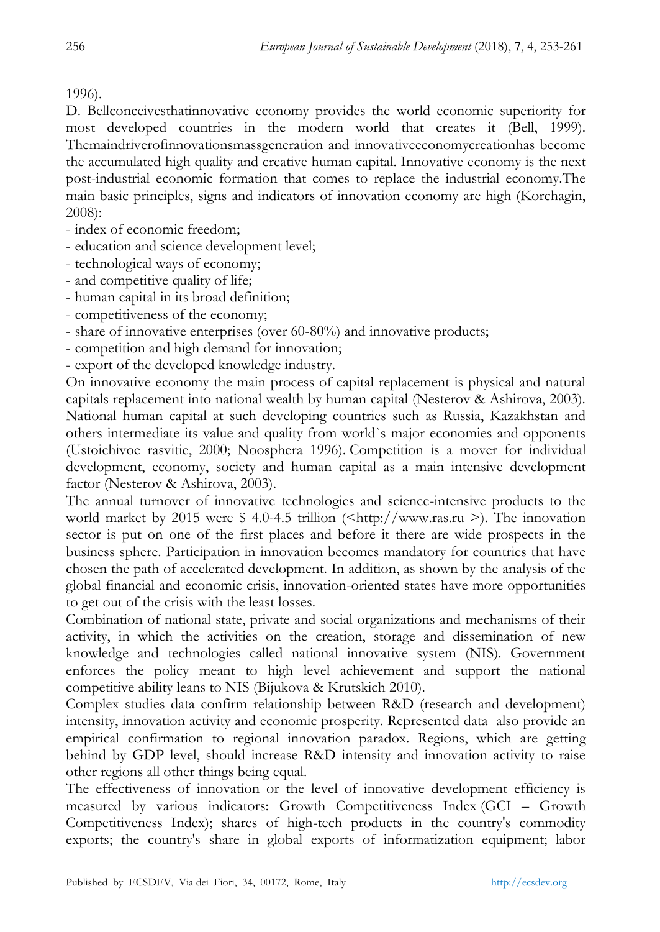# 1996).

D. Bellconceivesthatinnovative economy provides the world economic superiority for most developed countries in the modern world that creates it (Bell, 1999). Themaindriverofinnovationsmassgeneration and innovativeeconomycreationhas become the accumulated high quality and creative human capital. Innovative economy is the next post-industrial economic formation that comes to replace the industrial economy.The main basic principles, signs and indicators of innovation economy are high (Korchagin, 2008):

- index of economic freedom;
- education and science development level;
- technological ways of economy;
- and competitive quality of life;
- human capital in its broad definition;
- competitiveness of the economy;
- share of innovative enterprises (over 60-80%) and innovative products;
- competition and high demand for innovation;
- export of the developed knowledge industry.

On innovative economy the main process of capital replacement is physical and natural capitals replacement into national wealth by human capital (Nesterov & Ashirova, 2003). National human capital at such developing countries such as Russia, Kazakhstan and others intermediate its value and quality from world`s major economies and opponents (Ustoichivoe rasvitie, 2000; Noospherа 1996). Competition is a mover for individual development, economy, society and human capital as a main intensive development factor (Nesterov & Ashirova, 2003).

The annual turnover of innovative technologies and science-intensive products to the world market by 2015 were  $$4.0-4.5$  trillion (<http://www.ras.ru >). The innovation sector is put on one of the first places and before it there are wide prospects in the business sphere. Participation in innovation becomes mandatory for countries that have chosen the path of accelerated development. In addition, as shown by the analysis of the global financial and economic crisis, innovation-oriented states have more opportunities to get out of the crisis with the least losses.

Combination of national state, private and social organizations and mechanisms of their activity, in which the activities on the creation, storage and dissemination of new knowledge and technologies called national innovative system (NIS). Government enforces the policy meant to high level achievement and support the national competitive ability leans to NIS (Bijukova & Krutskich 2010).

Complex studies data confirm relationship between R&D (research and development) intensity, innovation activity and economic prosperity. Represented data also provide an empirical confirmation to regional innovation paradox. Regions, which are getting behind by GDP level, should increase R&D intensity and innovation activity to raise other regions all other things being equal.

The effectiveness of innovation or the level of innovative development efficiency is measured by various indicators: Growth Competitiveness Index (GCI – Growth Competitiveness Index); shares of high-tech products in the country's commodity exports; the country's share in global exports of informatization equipment; labor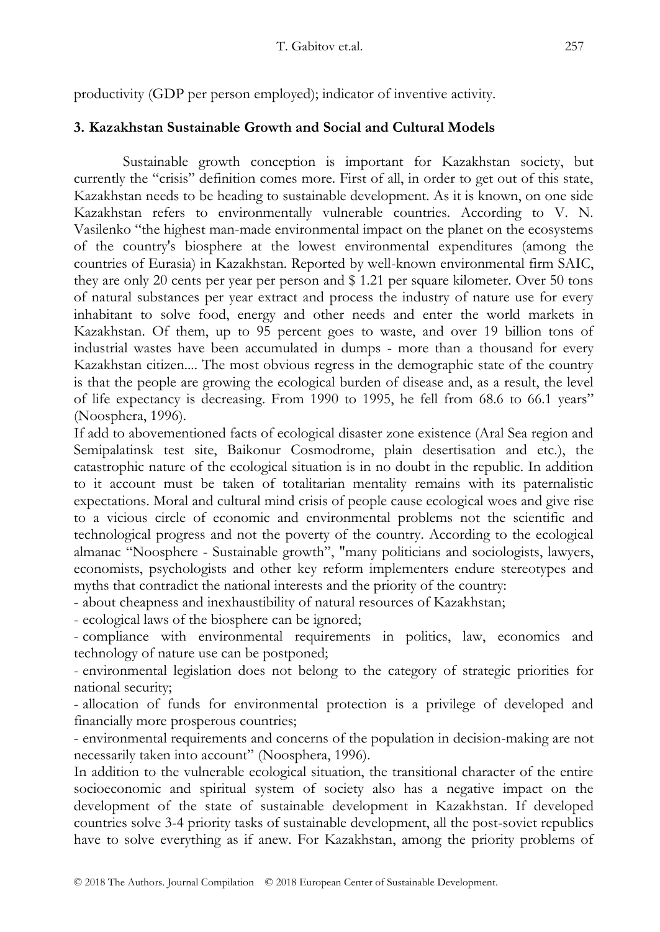productivity (GDP per person employed); indicator of inventive activity.

# **3. Kazakhstan Sustainable Growth and Social and Cultural Models**

Sustainable growth conception is important for Kazakhstan society, but currently the "crisis" definition comes more. First of all, in order to get out of this state, Kazakhstan needs to be heading to sustainable development. As it is known, on one side Kazakhstan refers to environmentally vulnerable countries. According to V. N. Vasilenko "the highest man-made environmental impact on the planet on the ecosystems of the country's biosphere at the lowest environmental expenditures (among the countries of Eurasia) in Kazakhstan. Reported by well-known environmental firm SAІC, they are only 20 cents per year per person and \$ 1.21 per square kilometer. Over 50 tons of natural substances per year extract and process the industry of nature use for every inhabitant to solve food, energy and other needs and enter the world markets in Kazakhstan. Of them, up to 95 percent goes to waste, and over 19 billion tons of industrial wastes have been accumulated in dumps - more than a thousand for every Kazakhstan citizen.... The most obvious regress in the demographic state of the country is that the people are growing the ecological burden of disease and, as a result, the level of life expectancy is decreasing. From 1990 to 1995, he fell from 68.6 to 66.1 years" (Noospherа, 1996).

If add to abovementioned facts of ecological disaster zone existence (Aral Sea region and Semipalatinsk test site, Baikonur Cosmodrome, plain desertisation and etc.), the catastrophic nature of the ecological situation is in no doubt in the republic. In addition to it account must be taken of totalitarian mentality remains with its paternalistic expectations. Moral and cultural mind crisis of people cause ecological woes and give rise to a vicious circle of economic and environmental problems not the scientific and technological progress and not the poverty of the country. According to the ecological almanac "Noosphere - Sustainable growth", "many politicians and sociologists, lawyers, economists, psychologists and other key reform implementers endure stereotypes and myths that contradict the national interests and the priority of the country:

- about cheapness and inexhaustibility of natural resources of Kazakhstan;

- ecological laws of the biosphere can be ignored;

- compliance with environmental requirements in politics, law, economics and technology of nature use can be postponed;

- environmental legislation does not belong to the category of strategic priorities for national security;

- allocation of funds for environmental protection is a privilege of developed and financially more prosperous countries;

- environmental requirements and concerns of the population in decision-making are not necessarily taken into account" (Noosphera, 1996).

In addition to the vulnerable ecological situation, the transitional character of the entire socioeconomic and spiritual system of society also has a negative impact on the development of the state of sustainable development in Kazakhstan. If developed countries solve 3-4 priority tasks of sustainable development, all the post-soviet republics have to solve everything as if anew. For Kazakhstan, among the priority problems of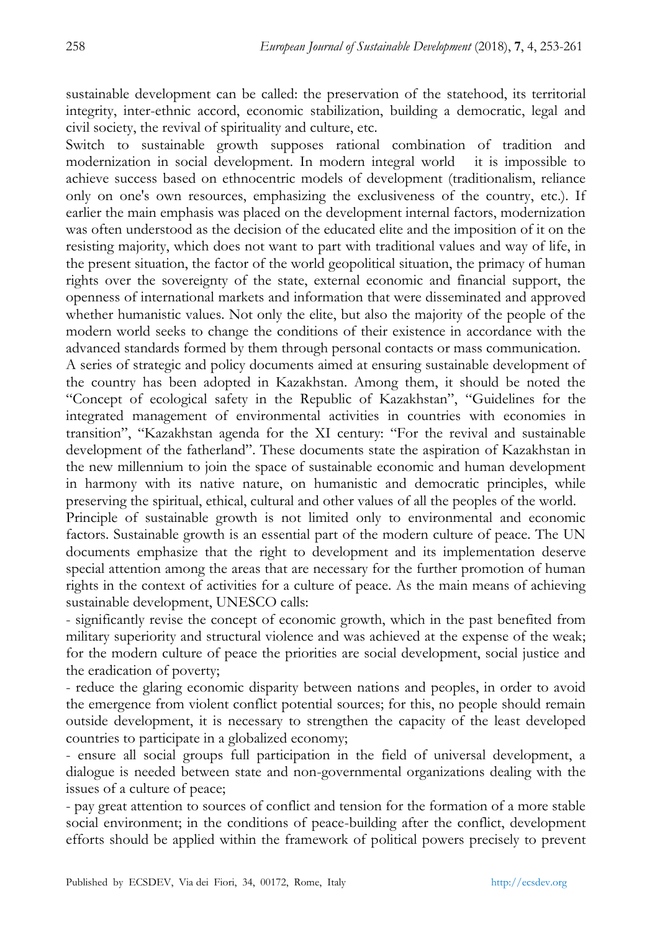sustainable development can be called: the preservation of the statehood, its territorial integrity, inter-ethnic accord, economic stabilization, building a democratic, legal and civil society, the revival of spirituality and culture, etc.

Switch to sustainable growth supposes rational combination of tradition and modernization in social development. In modern integral world it is impossible to achieve success based on ethnocentric models of development (traditionalism, reliance only on one's own resources, emphasizing the exclusiveness of the country, etc.). If earlier the main emphasis was placed on the development internal factors, modernization was often understood as the decision of the educated elite and the imposition of it on the resisting majority, which does not want to part with traditional values and way of life, in the present situation, the factor of the world geopolitical situation, the primacy of human rights over the sovereignty of the state, external economic and financial support, the openness of international markets and information that were disseminated and approved whether humanistic values. Not only the elite, but also the majority of the people of the modern world seeks to change the conditions of their existence in accordance with the advanced standards formed by them through personal contacts or mass communication.

A series of strategic and policy documents aimed at ensuring sustainable development of the country has been adopted in Kazakhstan. Among them, it should be noted the "Concept of ecological safety in the Republic of Kazakhstan", "Guidelines for the integrated management of environmental activities in countries with economies in transition", "Kazakhstan agenda for the XI century: "For the revival and sustainable development of the fatherland". These documents state the aspiration of Kazakhstan in the new millennium to join the space of sustainable economic and human development in harmony with its native nature, on humanistic and democratic principles, while preserving the spiritual, ethical, cultural and other values of all the peoples of the world.

Principle of sustainable growth is not limited only to environmental and economic factors. Sustainable growth is an essential part of the modern culture of peace. The UN documents emphasize that the right to development and its implementation deserve special attention among the areas that are necessary for the further promotion of human rights in the context of activities for a culture of peace. As the main means of achieving sustainable development, UNESCO calls:

- significantly revise the concept of economic growth, which in the past benefited from military superiority and structural violence and was achieved at the expense of the weak; for the modern culture of peace the priorities are social development, social justice and the eradication of poverty;

- reduce the glaring economic disparity between nations and peoples, in order to avoid the emergence from violent conflict potential sources; for this, no people should remain outside development, it is necessary to strengthen the capacity of the least developed countries to participate in a globalized economy;

- ensure all social groups full participation in the field of universal development, a dialogue is needed between state and non-governmental organizations dealing with the issues of a culture of peace;

- pay great attention to sources of conflict and tension for the formation of a more stable social environment; in the conditions of peace-building after the conflict, development efforts should be applied within the framework of political powers precisely to prevent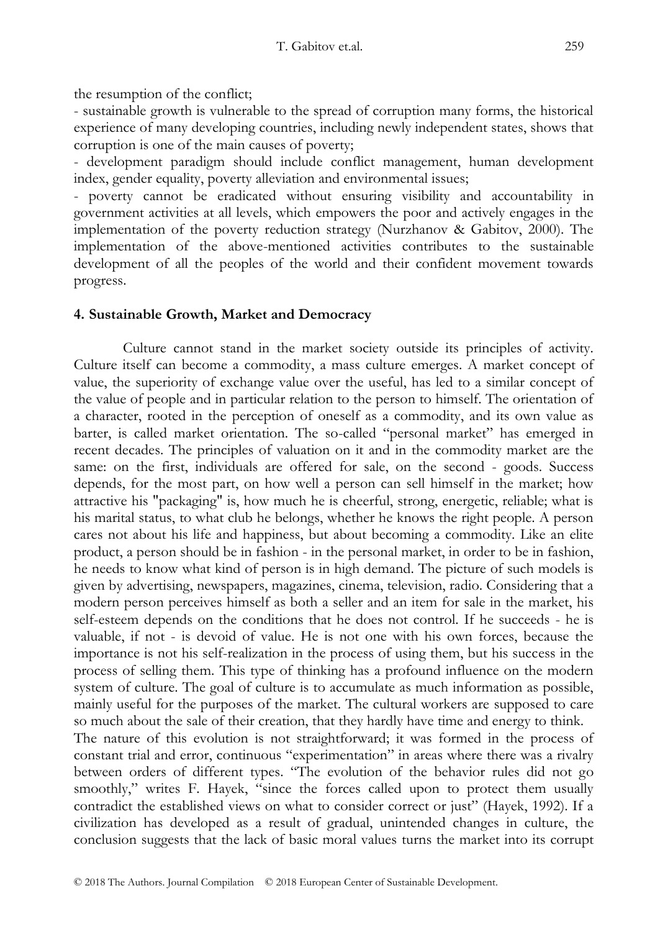the resumption of the conflict;

- sustainable growth is vulnerable to the spread of corruption many forms, the historical experience of many developing countries, including newly independent states, shows that corruption is one of the main causes of poverty;

- development paradigm should include conflict management, human development index, gender equality, poverty alleviation and environmental issues;

- poverty cannot be eradicated without ensuring visibility and accountability in government activities at all levels, which empowers the poor and actively engages in the implementation of the poverty reduction strategy (Nurzhanov & Gabitov, 2000). The implementation of the above-mentioned activities contributes to the sustainable development of all the peoples of the world and their confident movement towards progress.

## **4. Sustainable Growth, Market and Democracy**

Culture cannot stand in the market society outside its principles of activity. Culture itself can become a commodity, a mass culture emerges. A market concept of value, the superiority of exchange value over the useful, has led to a similar concept of the value of people and in particular relation to the person to himself. The orientation of a character, rooted in the perception of oneself as a commodity, and its own value as barter, is called market orientation. The so-called "personal market" has emerged in recent decades. The principles of valuation on it and in the commodity market are the same: on the first, individuals are offered for sale, on the second - goods. Success depends, for the most part, on how well a person can sell himself in the market; how attractive his "packaging" is, how much he is cheerful, strong, energetic, reliable; what is his marital status, to what club he belongs, whether he knows the right people. A person cares not about his life and happiness, but about becoming a commodity. Like an elite product, a person should be in fashion - in the personal market, in order to be in fashion, he needs to know what kind of person is in high demand. The picture of such models is given by advertising, newspapers, magazines, cinema, television, radio. Considering that a modern person perceives himself as both a seller and an item for sale in the market, his self-esteem depends on the conditions that he does not control. If he succeeds - he is valuable, if not - is devoid of value. He is not one with his own forces, because the importance is not his self-realization in the process of using them, but his success in the process of selling them. This type of thinking has a profound influence on the modern system of culture. The goal of culture is to accumulate as much information as possible, mainly useful for the purposes of the market. The cultural workers are supposed to care so much about the sale of their creation, that they hardly have time and energy to think. The nature of this evolution is not straightforward; it was formed in the process of constant trial and error, continuous "experimentation" in areas where there was a rivalry between orders of different types. "The evolution of the behavior rules did not go smoothly," writes F. Hayek, "since the forces called upon to protect them usually contradict the established views on what to consider correct or just" (Hayek, 1992). If a civilization has developed as a result of gradual, unintended changes in culture, the conclusion suggests that the lack of basic moral values turns the market into its corrupt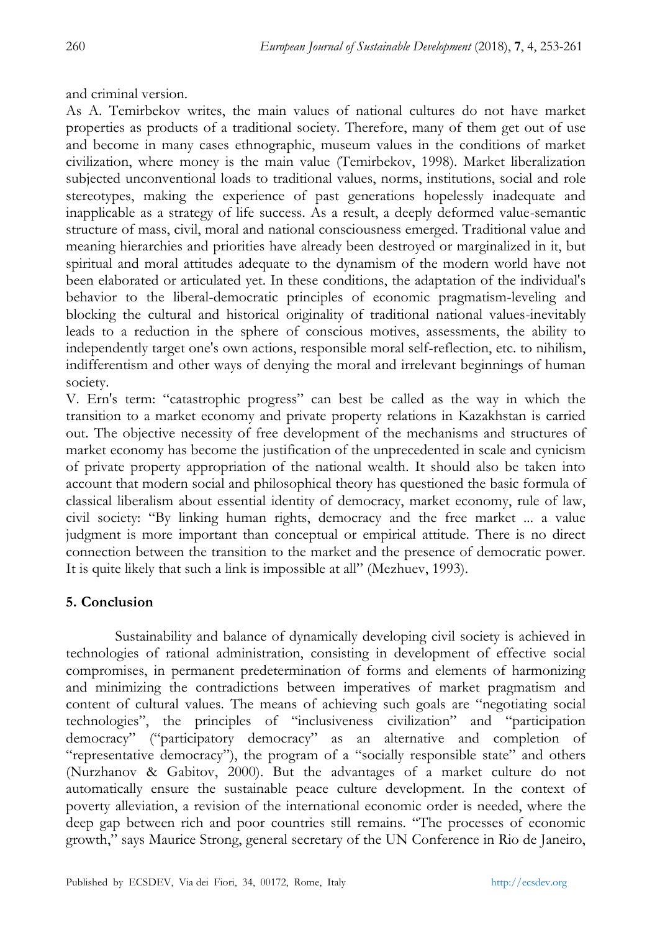and criminal version.

As A. Temirbekov writes, the main values of national cultures do not have market properties as products of a traditional society. Therefore, many of them get out of use and become in many cases ethnographic, museum values in the conditions of market civilization, where money is the main value (Temirbekov, 1998). Market liberalization subjected unconventional loads to traditional values, norms, institutions, social and role stereotypes, making the experience of past generations hopelessly inadequate and inapplicable as a strategy of life success. As a result, a deeply deformed value-semantic structure of mass, civil, moral and national consciousness emerged. Traditional value and meaning hierarchies and priorities have already been destroyed or marginalized in it, but spiritual and moral attitudes adequate to the dynamism of the modern world have not been elaborated or articulated yet. In these conditions, the adaptation of the individual's behavior to the liberal-democratic principles of economic pragmatism-leveling and blocking the cultural and historical originality of traditional national values-inevitably leads to a reduction in the sphere of conscious motives, assessments, the ability to independently target one's own actions, responsible moral self-reflection, etc. to nihilism, indifferentism and other ways of denying the moral and irrelevant beginnings of human society.

V. Ern's term: "catastrophic progress" can best be called as the way in which the transition to a market economy and private property relations in Kazakhstan is carried out. The objective necessity of free development of the mechanisms and structures of market economy has become the justification of the unprecedented in scale and cynicism of private property appropriation of the national wealth. It should also be taken into account that modern social and philosophical theory has questioned the basic formula of classical liberalism about essential identity of democracy, market economy, rule of law, civil society: "By linking human rights, democracy and the free market ... a value judgment is more important than conceptual or empirical attitude. There is no direct connection between the transition to the market and the presence of democratic power. It is quite likely that such a link is impossible at all" (Mezhuev, 1993).

## **5. Conclusion**

Sustainability and balance of dynamically developing civil society is achieved in technologies of rational administration, consisting in development of effective social compromises, in permanent predetermination of forms and elements of harmonizing and minimizing the contradictions between imperatives of market pragmatism and content of cultural values. The means of achieving such goals are "negotiating social technologies", the principles of "inclusiveness civilization" and "participation democracy" ("participatory democracy" as an alternative and completion of "representative democracy"), the program of a "socially responsible state" and others (Nurzhanov & Gabitov, 2000). But the advantages of a market culture do not automatically ensure the sustainable peace culture development. In the context of poverty alleviation, a revision of the international economic order is needed, where the deep gap between rich and poor countries still remains. "The processes of economic growth," says Maurice Strong, general secretary of the UN Conference in Rio de Janeiro,